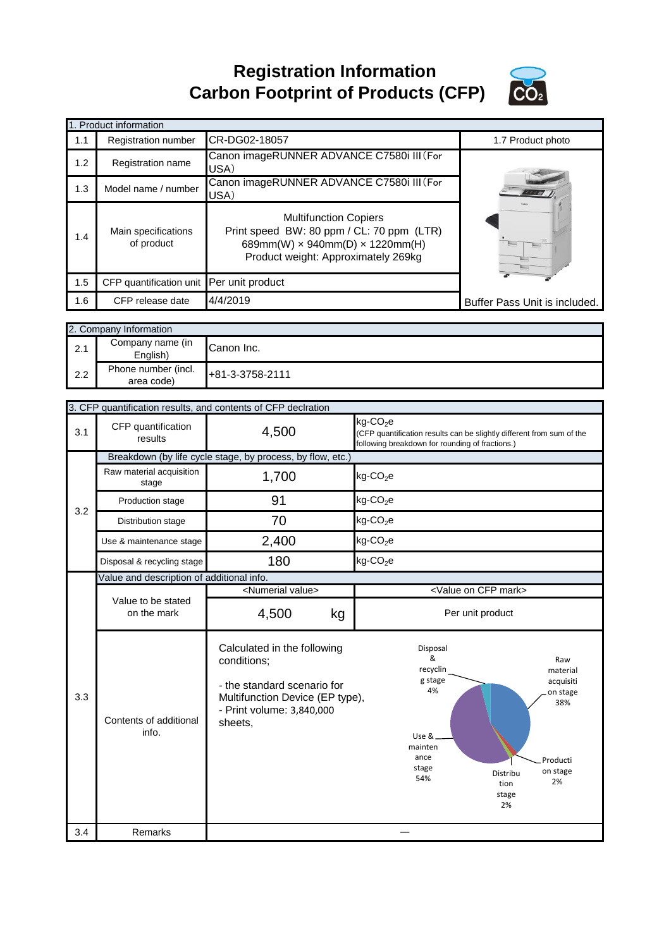**Registration Information Carbon Footprint of Products (CFP)**



|     | 1. Product information                   |                                                                                                                                                                   |                               |
|-----|------------------------------------------|-------------------------------------------------------------------------------------------------------------------------------------------------------------------|-------------------------------|
| 1.1 | <b>Registration number</b>               | CR-DG02-18057                                                                                                                                                     | 1.7 Product photo             |
| 1.2 | Registration name                        | Canon imageRUNNER ADVANCE C7580i III (For<br>USA)                                                                                                                 |                               |
| 1.3 | Model name / number                      | Canon imageRUNNER ADVANCE C7580i III (For<br>USA)                                                                                                                 |                               |
| 1.4 | Main specifications<br>of product        | <b>Multifunction Copiers</b><br>Print speed BW: 80 ppm / CL: 70 ppm (LTR)<br>689mm(W) $\times$ 940mm(D) $\times$ 1220mm(H)<br>Product weight: Approximately 269kg |                               |
| 1.5 | CFP quantification unit Per unit product |                                                                                                                                                                   |                               |
| 1.6 | CFP release date                         | 4/4/2019                                                                                                                                                          | Buffer Pass Unit is included. |

|     | 2. Company Information            |                 |  |
|-----|-----------------------------------|-----------------|--|
| 2.1 | Company name (in<br>English)      | Canon Inc.      |  |
| 2.2 | Phone number (incl.<br>area code) | +81-3-3758-2111 |  |

|     | 3. CFP quantification results, and contents of CFP declration |                                                                                                                                                      |                                                                                                                                                                                                             |  |
|-----|---------------------------------------------------------------|------------------------------------------------------------------------------------------------------------------------------------------------------|-------------------------------------------------------------------------------------------------------------------------------------------------------------------------------------------------------------|--|
| 3.1 | CFP quantification<br>results                                 | 4,500                                                                                                                                                | $kg$ -CO <sub>2</sub> e<br>(CFP quantification results can be slightly different from sum of the<br>following breakdown for rounding of fractions.)                                                         |  |
|     |                                                               | Breakdown (by life cycle stage, by process, by flow, etc.)                                                                                           |                                                                                                                                                                                                             |  |
|     | Raw material acquisition<br>stage                             | 1,700                                                                                                                                                | $kg$ -CO <sub>2</sub> e                                                                                                                                                                                     |  |
| 3.2 | Production stage                                              | 91                                                                                                                                                   | $kg$ -CO <sub>2</sub> e                                                                                                                                                                                     |  |
|     | Distribution stage                                            | 70                                                                                                                                                   | $kg$ -CO <sub>2</sub> e                                                                                                                                                                                     |  |
|     | Use & maintenance stage                                       | 2,400                                                                                                                                                | $kg$ -CO <sub>2</sub> e                                                                                                                                                                                     |  |
|     | Disposal & recycling stage                                    | 180                                                                                                                                                  | $kg$ -CO <sub>2</sub> e                                                                                                                                                                                     |  |
|     | Value and description of additional info.                     |                                                                                                                                                      |                                                                                                                                                                                                             |  |
|     |                                                               | <numerial value=""></numerial>                                                                                                                       | <value cfp="" mark="" on=""></value>                                                                                                                                                                        |  |
|     | Value to be stated<br>on the mark                             | 4,500<br>kg                                                                                                                                          | Per unit product                                                                                                                                                                                            |  |
| 3.3 | Contents of additional<br>info.                               | Calculated in the following<br>conditions;<br>- the standard scenario for<br>Multifunction Device (EP type),<br>- Print volume: 3,840,000<br>sheets, | Disposal<br>&<br>Raw<br>recyclin<br>material<br>g stage<br>acquisiti<br>4%<br>on stage<br>38%<br>Use &_<br>mainten<br>ance<br>Producti<br>stage<br>on stage<br>Distribu<br>54%<br>2%<br>tion<br>stage<br>2% |  |
| 3.4 | Remarks                                                       |                                                                                                                                                      |                                                                                                                                                                                                             |  |